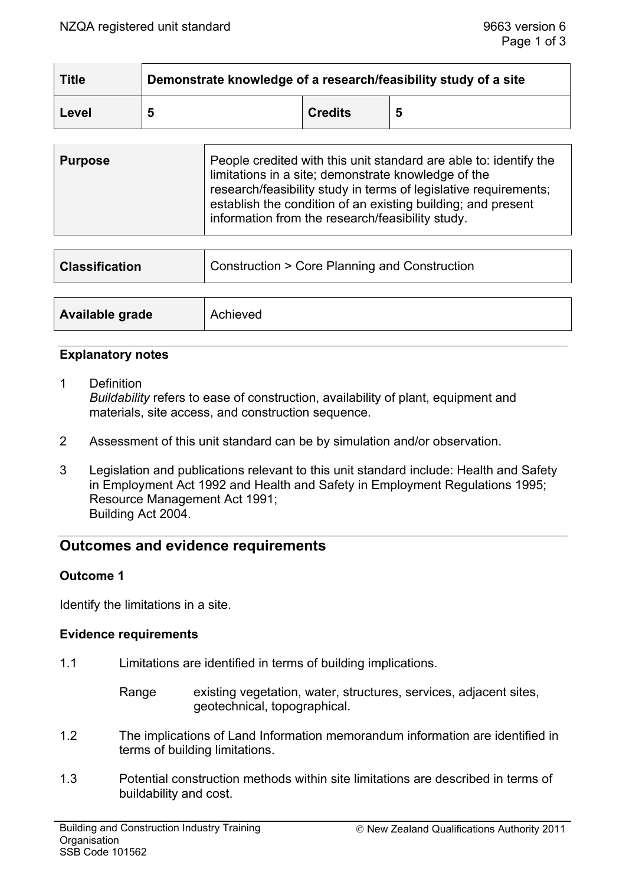| <b>Title</b> | Demonstrate knowledge of a research/feasibility study of a site |                |   |
|--------------|-----------------------------------------------------------------|----------------|---|
| Level        |                                                                 | <b>Credits</b> | 5 |

| <b>Purpose</b> | People credited with this unit standard are able to: identify the<br>limitations in a site; demonstrate knowledge of the<br>research/feasibility study in terms of legislative requirements;<br>establish the condition of an existing building; and present<br>information from the research/feasibility study. |
|----------------|------------------------------------------------------------------------------------------------------------------------------------------------------------------------------------------------------------------------------------------------------------------------------------------------------------------|
|                |                                                                                                                                                                                                                                                                                                                  |

| <b>Classification</b> | Construction > Core Planning and Construction |  |
|-----------------------|-----------------------------------------------|--|
|                       |                                               |  |
| Available grade       | Achieved                                      |  |

## **Explanatory notes**

- 1 Definition *Buildability* refers to ease of construction, availability of plant, equipment and materials, site access, and construction sequence.
- 2 Assessment of this unit standard can be by simulation and/or observation.
- 3 Legislation and publications relevant to this unit standard include: Health and Safety in Employment Act 1992 and Health and Safety in Employment Regulations 1995; Resource Management Act 1991; Building Act 2004.

# **Outcomes and evidence requirements**

#### **Outcome 1**

Identify the limitations in a site.

#### **Evidence requirements**

- 1.1 Limitations are identified in terms of building implications.
	- Range existing vegetation, water, structures, services, adjacent sites, geotechnical, topographical.
- 1.2 The implications of Land Information memorandum information are identified in terms of building limitations.
- 1.3 Potential construction methods within site limitations are described in terms of buildability and cost.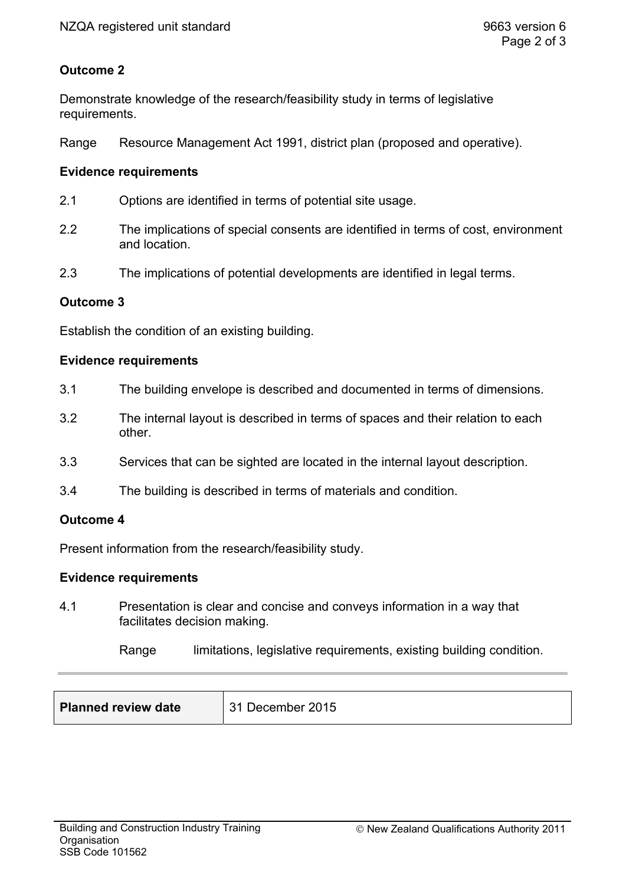# **Outcome 2**

Demonstrate knowledge of the research/feasibility study in terms of legislative requirements.

Range Resource Management Act 1991, district plan (proposed and operative).

### **Evidence requirements**

- 2.1 Options are identified in terms of potential site usage.
- 2.2 The implications of special consents are identified in terms of cost, environment and location.
- 2.3 The implications of potential developments are identified in legal terms.

## **Outcome 3**

Establish the condition of an existing building.

## **Evidence requirements**

- 3.1 The building envelope is described and documented in terms of dimensions.
- 3.2 The internal layout is described in terms of spaces and their relation to each other.
- 3.3 Services that can be sighted are located in the internal layout description.
- 3.4 The building is described in terms of materials and condition.

#### **Outcome 4**

Present information from the research/feasibility study.

#### **Evidence requirements**

4.1 Presentation is clear and concise and conveys information in a way that facilitates decision making.

Range limitations, legislative requirements, existing building condition.

| <b>Planned review date</b> | 31 December 2015 |
|----------------------------|------------------|
|                            |                  |